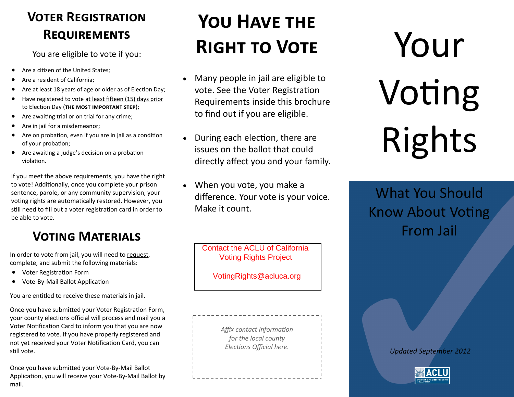## **Voter Registration Requirements**

You are eligible to vote if you:

- Are a citizen of the United States;
- Are a resident of California;
- Are at least 18 years of age or older as of Election Day;
- Have registered to vote at least fifteen (15) days prior to Election Day (**the most important step**);
- Are awaiting trial or on trial for any crime;
- Are in jail for a misdemeanor;
- Are on probation, even if you are in jail as a condition of your probation;
- Are awaiting a judge's decision on a probation violation.

If you meet the above requirements, you have the right to vote! Additionally, once you complete your prison sentence, parole, or any community supervision, your voting rights are automatically restored. However, you still need to fill out a voter registration card in order to be able to vote.

## **Voting Materials**

In order to vote from jail, you will need to request, complete, and submit the following materials:

- Voter Registration Form
- Vote-By-Mail Ballot Application

You are entitled to receive these materials in jail.

Once you have submitted your Voter Registration Form, your county elections official will process and mail you a Voter Notification Card to inform you that you are now registered to vote. If you have properly registered and not yet received your Voter Notification Card, you can still vote.

Once you have submitted your Vote-By-Mail Ballot Application, you will receive your Vote-By-Mail Ballot by mail.

## **You Have the Right to Vote**

- Many people in jail are eligible to vote. See the Voter Registration Requirements inside this brochure to find out if you are eligible.
- During each election, there are issues on the ballot that could directly affect you and your family.
- When you vote, you make a difference. Your vote is your voice. Make it count.

**Contact the ACLU of California** Voting Rights Project

VotingRights@acluca.org

*Affix contact information for the local county Elections Official here.*

Your Voting Rights

What You Should Know About Voting From Jail

*Updated September 2012*